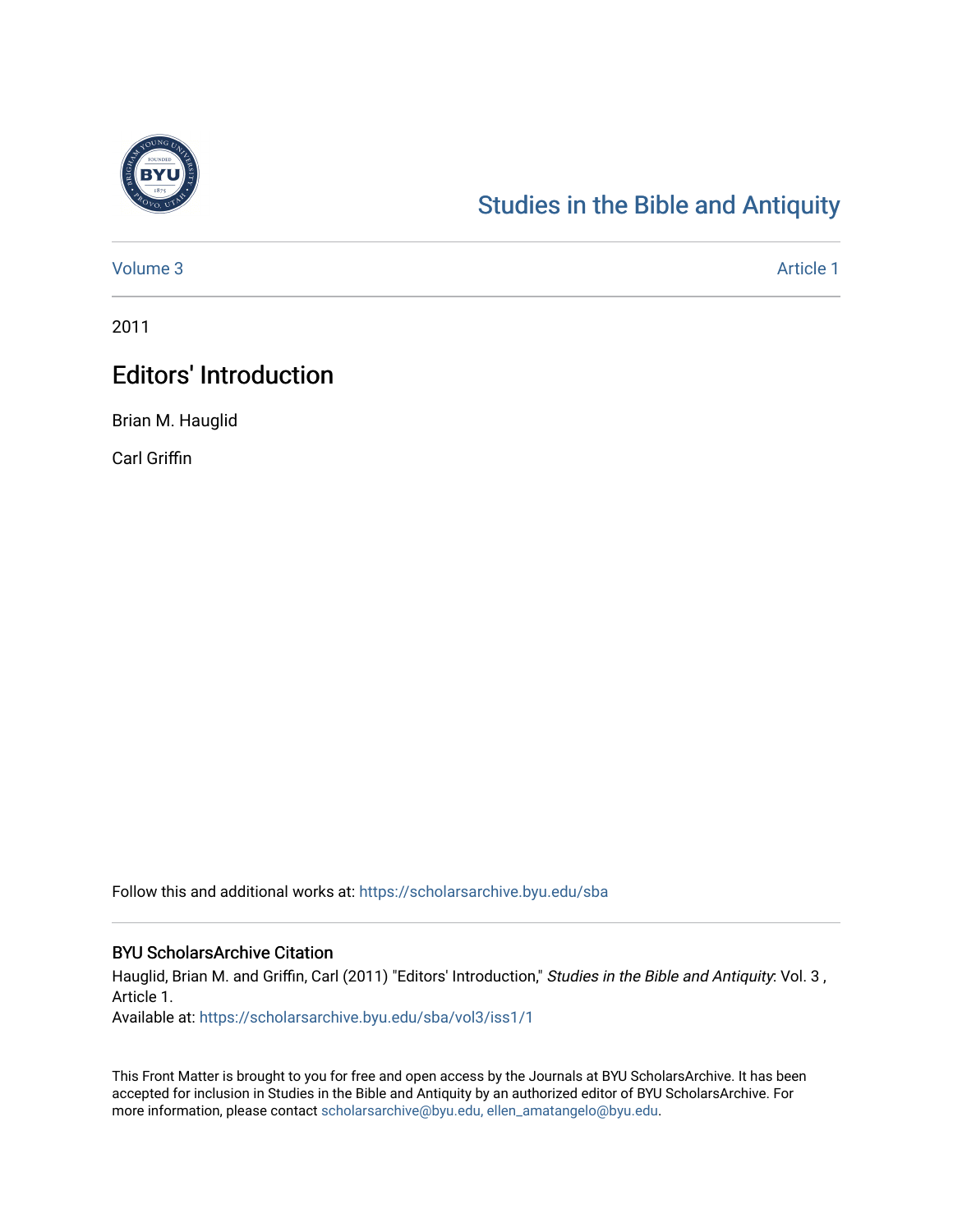

## [Studies in the Bible and Antiquity](https://scholarsarchive.byu.edu/sba)

[Volume 3](https://scholarsarchive.byu.edu/sba/vol3) Article 1

2011

## Editors' Introduction

Brian M. Hauglid

Carl Griffin

Follow this and additional works at: [https://scholarsarchive.byu.edu/sba](https://scholarsarchive.byu.edu/sba?utm_source=scholarsarchive.byu.edu%2Fsba%2Fvol3%2Fiss1%2F1&utm_medium=PDF&utm_campaign=PDFCoverPages)

## BYU ScholarsArchive Citation

Hauglid, Brian M. and Griffin, Carl (2011) "Editors' Introduction," Studies in the Bible and Antiquity: Vol. 3 , Article 1.

Available at: [https://scholarsarchive.byu.edu/sba/vol3/iss1/1](https://scholarsarchive.byu.edu/sba/vol3/iss1/1?utm_source=scholarsarchive.byu.edu%2Fsba%2Fvol3%2Fiss1%2F1&utm_medium=PDF&utm_campaign=PDFCoverPages)

This Front Matter is brought to you for free and open access by the Journals at BYU ScholarsArchive. It has been accepted for inclusion in Studies in the Bible and Antiquity by an authorized editor of BYU ScholarsArchive. For more information, please contact [scholarsarchive@byu.edu, ellen\\_amatangelo@byu.edu.](mailto:scholarsarchive@byu.edu,%20ellen_amatangelo@byu.edu)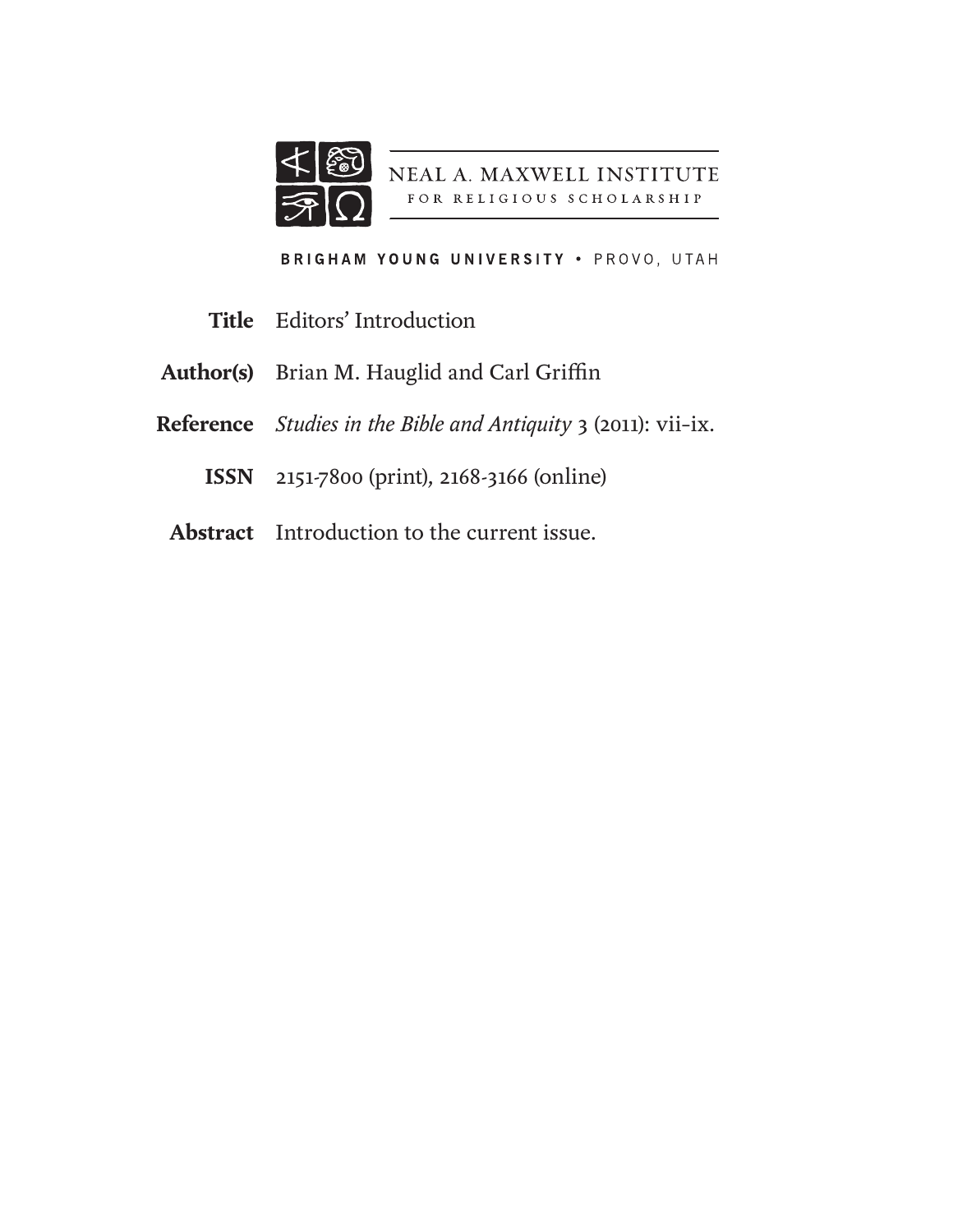

NEAL A. MAXWELL INSTITUTE FOR RELIGIOUS SCHOLARSHIP

BRIGHAM YOUNG UNIVERSITY . PROVO, UTAH

- Editors' Introduction **Title**
- Brian M. Hauglid and Carl Griffin **Author(s)**
- *Studies in the Bible and Antiquity* 3 (2011): vii–ix. **Reference**
	- 2151-7800 (print), 2168-3166 (online) **ISSN**
- **Abstract** Introduction to the current issue.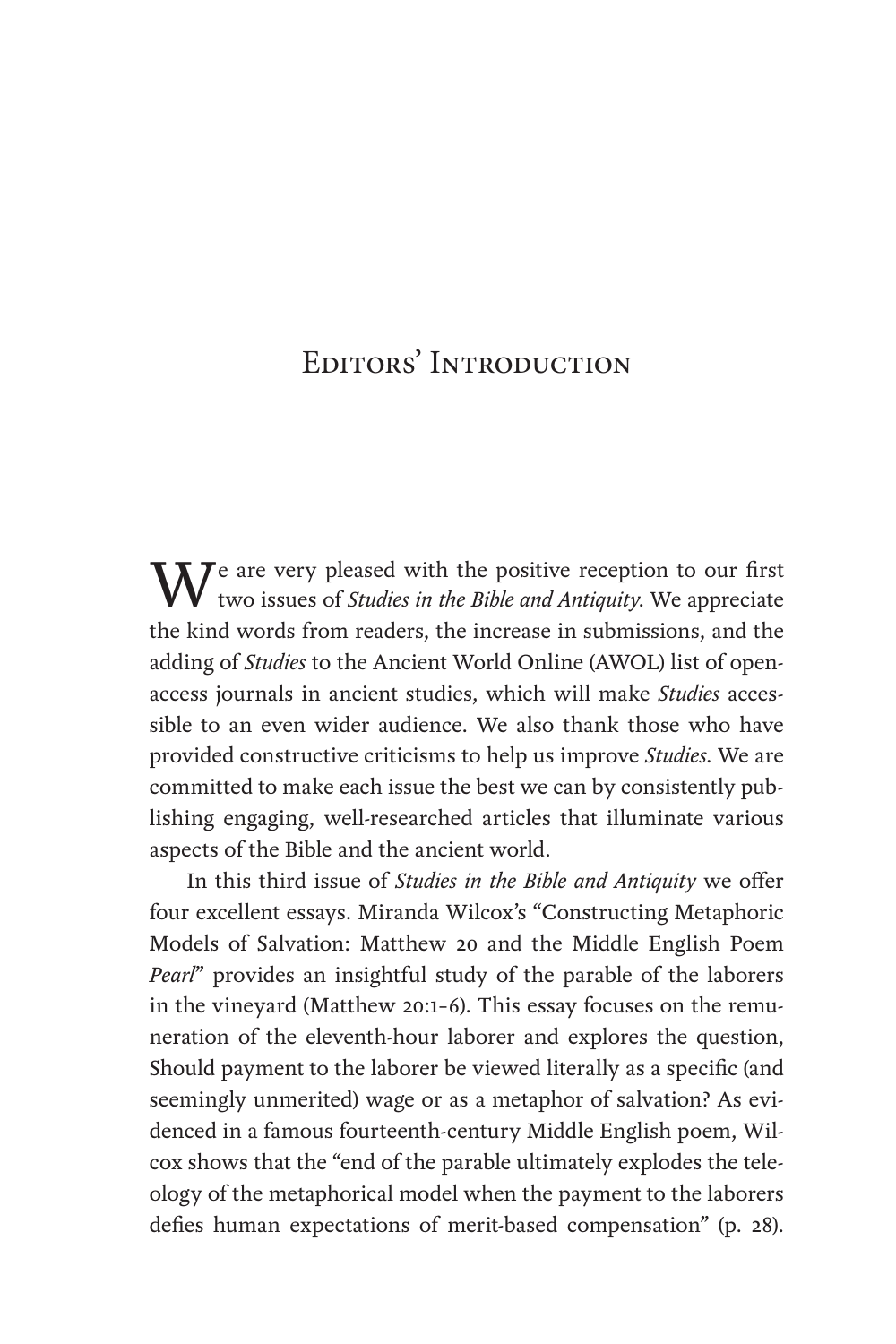## Editors' Introduction

We are very pleased with the positive reception to our first two issues of *Studies in the Bible and Antiquity*. We appreciate the kind words from readers, the increase in submissions, and the adding of *Studies* to the Ancient World Online (AWOL) list of openaccess journals in ancient studies, which will make *Studies* accessible to an even wider audience. We also thank those who have provided constructive criticisms to help us improve *Studies*. We are committed to make each issue the best we can by consistently publishing engaging, well-researched articles that illuminate various aspects of the Bible and the ancient world.

In this third issue of *Studies in the Bible and Antiquity* we offer four excellent essays. Miranda Wilcox's "Constructing Metaphoric Models of Salvation: Matthew 20 and the Middle English Poem *Pearl*" provides an insightful study of the parable of the laborers in the vineyard (Matthew 20:1–6). This essay focuses on the remuneration of the eleventh-hour laborer and explores the question, Should payment to the laborer be viewed literally as a specific (and seemingly unmerited) wage or as a metaphor of salvation? As evidenced in a famous fourteenth-century Middle English poem, Wilcox shows that the "end of the parable ultimately explodes the teleology of the metaphorical model when the payment to the laborers defies human expectations of merit-based compensation" (p. 28).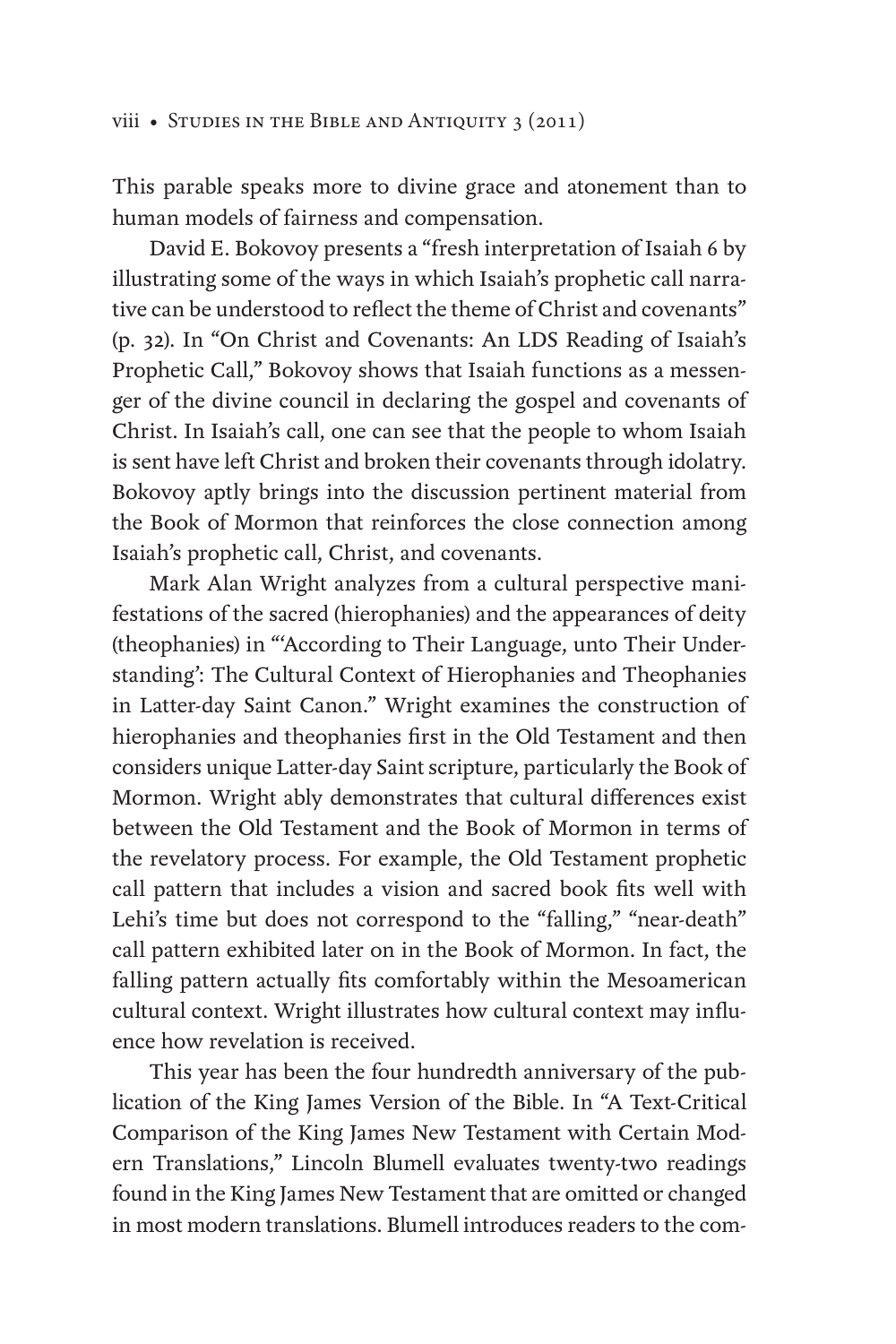This parable speaks more to divine grace and atonement than to human models of fairness and compensation.

David E. Bokovoy presents a "fresh interpretation of Isaiah 6 by illustrating some of the ways in which Isaiah's prophetic call narrative can be understood to reflect the theme of Christ and covenants" (p. 32). In "On Christ and Covenants: An LDS Reading of Isaiah's Prophetic Call," Bokovoy shows that Isaiah functions as a messenger of the divine council in declaring the gospel and covenants of Christ. In Isaiah's call, one can see that the people to whom Isaiah is sent have left Christ and broken their covenants through idolatry. Bokovoy aptly brings into the discussion pertinent material from the Book of Mormon that reinforces the close connection among Isaiah's prophetic call, Christ, and covenants.

Mark Alan Wright analyzes from a cultural perspective manifestations of the sacred (hierophanies) and the appearances of deity (theophanies) in "'According to Their Language, unto Their Understanding': The Cultural Context of Hierophanies and Theophanies in Latter-day Saint Canon." Wright examines the construction of hierophanies and theophanies first in the Old Testament and then considers unique Latter-day Saint scripture, particularly the Book of Mormon. Wright ably demonstrates that cultural differences exist between the Old Testament and the Book of Mormon in terms of the revelatory process. For example, the Old Testament prophetic call pattern that includes a vision and sacred book fits well with Lehi's time but does not correspond to the "falling," "near-death" call pattern exhibited later on in the Book of Mormon. In fact, the falling pattern actually fits comfortably within the Mesoamerican cultural context. Wright illustrates how cultural context may influence how revelation is received.

This year has been the four hundredth anniversary of the publication of the King James Version of the Bible. In "A Text-Critical Comparison of the King James New Testament with Certain Modern Translations," Lincoln Blumell evaluates twenty-two readings found in the King James New Testament that are omitted or changed in most modern translations. Blumell introduces readers to the com